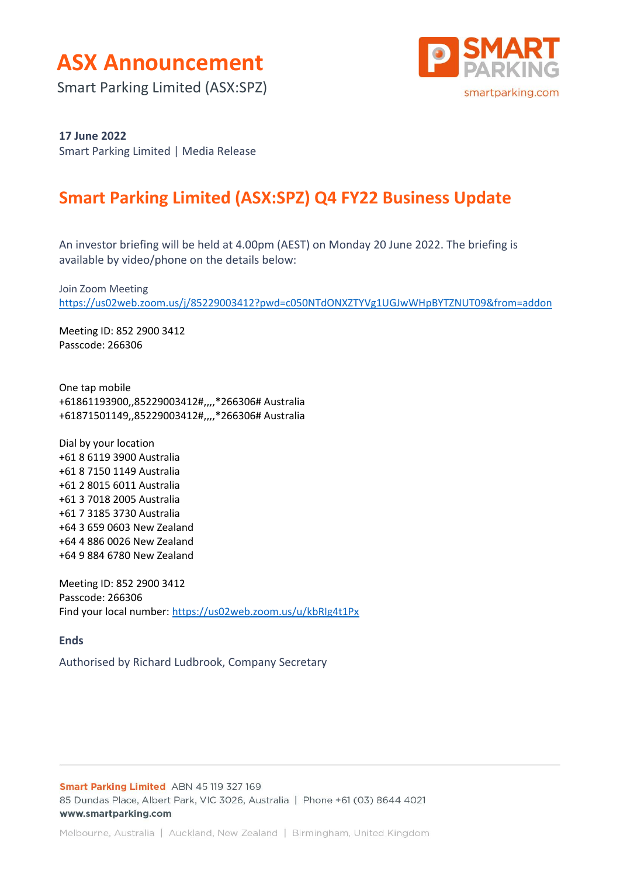

Smart Parking Limited (ASX:SPZ)



#### **17 June 2022**

Smart Parking Limited | Media Release

## **Smart Parking Limited (ASX:SPZ) Q4 FY22 Business Update**

An investor briefing will be held at 4.00pm (AEST) on Monday 20 June 2022. The briefing is available by video/phone on the details below:

Join Zoom Meeting <https://us02web.zoom.us/j/85229003412?pwd=c050NTdONXZTYVg1UGJwWHpBYTZNUT09&from=addon>

Meeting ID: 852 2900 3412 Passcode: 266306

One tap mobile +61861193900,,85229003412#,,,,\*266306# Australia +61871501149,,85229003412#,,,,\*266306# Australia

Dial by your location +61 8 6119 3900 Australia +61 8 7150 1149 Australia +61 2 8015 6011 Australia +61 3 7018 2005 Australia +61 7 3185 3730 Australia +64 3 659 0603 New Zealand +64 4 886 0026 New Zealand +64 9 884 6780 New Zealand

Meeting ID: 852 2900 3412 Passcode: 266306 Find your local number:<https://us02web.zoom.us/u/kbRIg4t1Px>

**Ends**

Authorised by Richard Ludbrook, Company Secretary

Smart Parking Limited ABN 45 119 327 169 85 Dundas Place, Albert Park, VIC 3026, Australia | Phone +61 (03) 8644 4021 www.smartparking.com